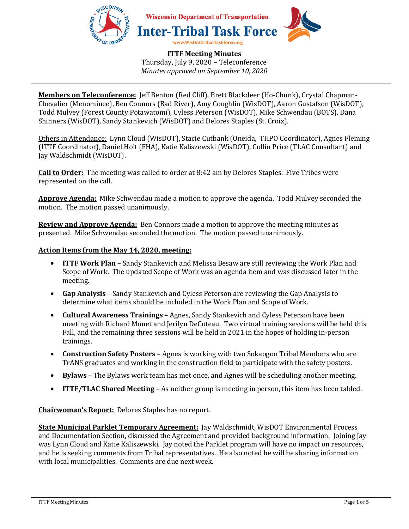

**Members on Teleconference:** Jeff Benton (Red Cliff), Brett Blackdeer (Ho-Chunk), Crystal Chapman-Chevalier (Menominee), Ben Connors (Bad River), Amy Coughlin (WisDOT), Aaron Gustafson (WisDOT), Todd Mulvey (Forest County Potawatomi), Cyless Peterson (WisDOT), Mike Schwendau (BOTS), Dana Shinners (WisDOT), Sandy Stankevich (WisDOT) and Delores Staples (St. Croix).

Others in Attendance: Lynn Cloud (WisDOT), Stacie Cutbank (Oneida, THPO Coordinator), Agnes Fleming (ITTF Coordinator), Daniel Holt (FHA), Katie Kaliszewski (WisDOT), Collin Price (TLAC Consultant) and Jay Waldschmidt (WisDOT).

**Call to Order:** The meeting was called to order at 8:42 am by Delores Staples. Five Tribes were represented on the call.

**Approve Agenda:** Mike Schwendau made a motion to approve the agenda. Todd Mulvey seconded the motion. The motion passed unanimously.

**Review and Approve Agenda:** Ben Connors made a motion to approve the meeting minutes as presented. Mike Schwendau seconded the motion. The motion passed unanimously.

## **Action Items from the May 14, 2020, meeting:**

- **ITTF Work Plan** Sandy Stankevich and Melissa Besaw are still reviewing the Work Plan and Scope of Work. The updated Scope of Work was an agenda item and was discussed later in the meeting.
- **Gap Analysis** Sandy Stankevich and Cyless Peterson are reviewing the Gap Analysis to determine what items should be included in the Work Plan and Scope of Work.
- **Cultural Awareness Trainings** Agnes, Sandy Stankevich and Cyless Peterson have been meeting with Richard Monet and Jerilyn DeCoteau. Two virtual training sessions will be held this Fall, and the remaining three sessions will be held in 2021 in the hopes of holding in-person trainings.
- **Construction Safety Posters** Agnes is working with two Sokaogon Tribal Members who are TrANS graduates and working in the construction field to participate with the safety posters.
- **Bylaws** The Bylaws work team has met once, and Agnes will be scheduling another meeting.
- **ITTF/TLAC Shared Meeting** As neither group is meeting in person, this item has been tabled.

**Chairwoman's Report:** Delores Staples has no report.

**State Municipal Parklet Temporary Agreement:** Jay Waldschmidt, WisDOT Environmental Process and Documentation Section, discussed the Agreement and provided background information. Joining Jay was Lynn Cloud and Katie Kaliszewski. Jay noted the Parklet program will have no impact on resources, and he is seeking comments from Tribal representatives. He also noted he will be sharing information with local municipalities. Comments are due next week.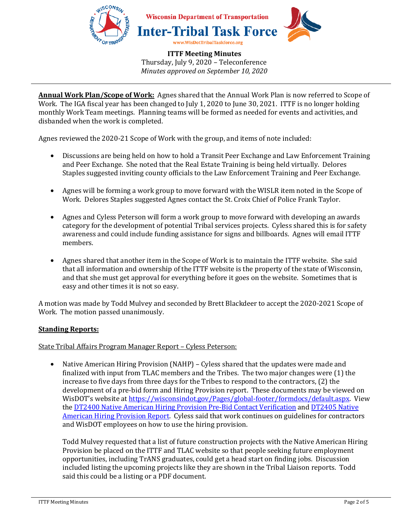

**Annual Work Plan/Scope of Work:** Agnes shared that the Annual Work Plan is now referred to Scope of Work. The IGA fiscal year has been changed to July 1, 2020 to June 30, 2021. ITTF is no longer holding monthly Work Team meetings. Planning teams will be formed as needed for events and activities, and disbanded when the work is completed.

Agnes reviewed the 2020-21 Scope of Work with the group, and items of note included:

- Discussions are being held on how to hold a Transit Peer Exchange and Law Enforcement Training and Peer Exchange. She noted that the Real Estate Training is being held virtually. Delores Staples suggested inviting county officials to the Law Enforcement Training and Peer Exchange.
- Agnes will be forming a work group to move forward with the WISLR item noted in the Scope of Work. Delores Staples suggested Agnes contact the St. Croix Chief of Police Frank Taylor.
- Agnes and Cyless Peterson will form a work group to move forward with developing an awards category for the development of potential Tribal services projects. Cyless shared this is for safety awareness and could include funding assistance for signs and billboards. Agnes will email ITTF members.
- Agnes shared that another item in the Scope of Work is to maintain the ITTF website. She said that all information and ownership of the ITTF website is the property of the state of Wisconsin, and that she must get approval for everything before it goes on the website. Sometimes that is easy and other times it is not so easy.

A motion was made by Todd Mulvey and seconded by Brett Blackdeer to accept the 2020-2021 Scope of Work. The motion passed unanimously.

# **Standing Reports:**

State Tribal Affairs Program Manager Report – Cyless Peterson:

• Native American Hiring Provision (NAHP) – Cyless shared that the updates were made and finalized with input from TLAC members and the Tribes. The two major changes were (1) the increase to five days from three days for the Tribes to respond to the contractors, (2) the development of a pre-bid form and Hiring Provision report. These documents may be viewed on WisDOT's website at https://wisconsindot.gov/Pages/global-footer/formdocs/default.aspx. View the DT2400 Native American Hiring Provision Pre-Bid Contact Verification and DT2405 Native American Hiring Provision Report. Cyless said that work continues on guidelines for contractors and WisDOT employees on how to use the hiring provision.

Todd Mulvey requested that a list of future construction projects with the Native American Hiring Provision be placed on the ITTF and TLAC website so that people seeking future employment opportunities, including TrANS graduates, could get a head start on finding jobs. Discussion included listing the upcoming projects like they are shown in the Tribal Liaison reports. Todd said this could be a listing or a PDF document.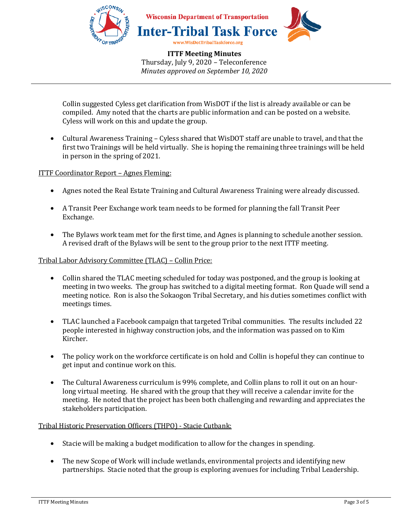

Collin suggested Cyless get clarification from WisDOT if the list is already available or can be compiled. Amy noted that the charts are public information and can be posted on a website. Cyless will work on this and update the group.

• Cultural Awareness Training – Cyless shared that WisDOT staff are unable to travel, and that the first two Trainings will be held virtually. She is hoping the remaining three trainings will be held in person in the spring of 2021.

ITTF Coordinator Report – Agnes Fleming:

- Agnes noted the Real Estate Training and Cultural Awareness Training were already discussed.
- A Transit Peer Exchange work team needs to be formed for planning the fall Transit Peer Exchange.
- The Bylaws work team met for the first time, and Agnes is planning to schedule another session. A revised draft of the Bylaws will be sent to the group prior to the next ITTF meeting.

Tribal Labor Advisory Committee (TLAC) – Collin Price:

- Collin shared the TLAC meeting scheduled for today was postponed, and the group is looking at meeting in two weeks. The group has switched to a digital meeting format. Ron Quade will send a meeting notice. Ron is also the Sokaogon Tribal Secretary, and his duties sometimes conflict with meetings times.
- TLAC launched a Facebook campaign that targeted Tribal communities. The results included 22 people interested in highway construction jobs, and the information was passed on to Kim Kircher.
- The policy work on the workforce certificate is on hold and Collin is hopeful they can continue to get input and continue work on this.
- The Cultural Awareness curriculum is 99% complete, and Collin plans to roll it out on an hourlong virtual meeting. He shared with the group that they will receive a calendar invite for the meeting. He noted that the project has been both challenging and rewarding and appreciates the stakeholders participation.

Tribal Historic Preservation Officers (THPO) - Stacie Cutbank:

- Stacie will be making a budget modification to allow for the changes in spending.
- The new Scope of Work will include wetlands, environmental projects and identifying new partnerships. Stacie noted that the group is exploring avenues for including Tribal Leadership.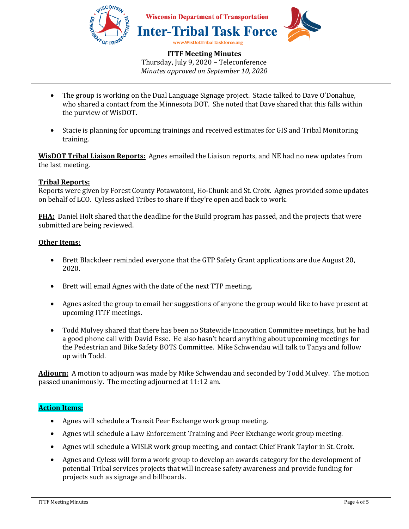

- The group is working on the Dual Language Signage project. Stacie talked to Dave O'Donahue, who shared a contact from the Minnesota DOT. She noted that Dave shared that this falls within the purview of WisDOT.
- Stacie is planning for upcoming trainings and received estimates for GIS and Tribal Monitoring training.

**WisDOT Tribal Liaison Reports:** Agnes emailed the Liaison reports, and NE had no new updates from the last meeting.

## **Tribal Reports:**

Reports were given by Forest County Potawatomi, Ho-Chunk and St. Croix. Agnes provided some updates on behalf of LCO. Cyless asked Tribes to share if they're open and back to work.

**FHA:** Daniel Holt shared that the deadline for the Build program has passed, and the projects that were submitted are being reviewed.

## **Other Items:**

- Brett Blackdeer reminded everyone that the GTP Safety Grant applications are due August 20, 2020.
- Brett will email Agnes with the date of the next TTP meeting.
- Agnes asked the group to email her suggestions of anyone the group would like to have present at upcoming ITTF meetings.
- Todd Mulvey shared that there has been no Statewide Innovation Committee meetings, but he had a good phone call with David Esse. He also hasn't heard anything about upcoming meetings for the Pedestrian and Bike Safety BOTS Committee. Mike Schwendau will talk to Tanya and follow up with Todd.

**Adjourn:** A motion to adjourn was made by Mike Schwendau and seconded by Todd Mulvey. The motion passed unanimously. The meeting adjourned at 11:12 am.

## **Action Items:**

- Agnes will schedule a Transit Peer Exchange work group meeting.
- Agnes will schedule a Law Enforcement Training and Peer Exchange work group meeting.
- Agnes will schedule a WISLR work group meeting, and contact Chief Frank Taylor in St. Croix.
- Agnes and Cyless will form a work group to develop an awards category for the development of potential Tribal services projects that will increase safety awareness and provide funding for projects such as signage and billboards.